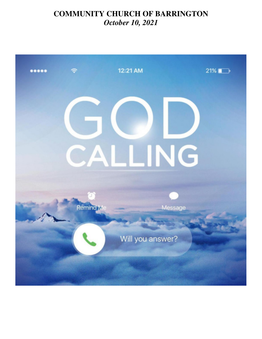# **COMMUNITY CHURCH OF BARRINGTON** *October 10, 2021*

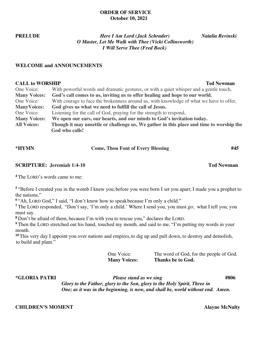### **ORDER OF SERVICE October 10, 2021**

# **PRELUDE** *Here I Am Lord (Jack Schrader) Natalia Revinski O Master, Let Me Walk with Thee (Vicki Collinsworth) I Will Serve Thee (Fred Bock)*

### **WELCOME and ANNOUNCEMENTS**

# **CALL to WORSHIP Ted Newman**

One Voice: With powerful words and dramatic gestures, or with a quiet whisper and a gentle touch, **Many Voices: God's call comes to us, inviting us to offer healing and hope to our world.** One Voice: With courage to face the brokenness around us, with knowledge of what we have to offer, **ManyVoices: God gives us what we need to fulfill the call of Jesus.**  One Voice: Listening for the call of God, praying for the strength to respond, **Many Voices: We open our ears, our hearts, and our minds to God's invitation today. All Voices: Though it may unsettle or challenge us, We gather in this place and time to worship the God who calls!** 

| *HYMN | <b>Come, Thou Font of Every Blessing</b> | #45 |
|-------|------------------------------------------|-----|
|-------|------------------------------------------|-----|

### **SCRIPTURE:** Jeremiah 1:4-10 **Ted Newman**

**<sup>4</sup>**The LORD's words came to me:

**<sup>5</sup>**"Before I created you in the womb I knew you;before you were born I set you apart; I made you a prophet to the nations."

**<sup>6</sup>**"Ah, LORD God," I said, "I don't know how to speakbecause I'm only a child."

**<sup>7</sup>**The LORD responded, "Don't say, 'I'm only a child.' Where I send you, you must go; what I tell you, you must say.

**<sup>8</sup>**Don't be afraid of them, because I'm with you to rescue you," declares the LORD.

**<sup>9</sup>**Then the LORD stretched out his hand, touched my mouth, and said to me, "I'm putting my words in your mouth.

<sup>10</sup>This very day I appoint you over nations and empires, to dig up and pull down, to destroy and demolish, to build and plant."

| One Voice:          | The word of God, for the people of God. |
|---------------------|-----------------------------------------|
| <b>Many Voices:</b> | Thanks be to God.                       |

**\*GLORIA PATRI** *Please stand as we sing* **#806** *Glory to the Father, glory to the Son, glory to the Holy Spirit, Three in One; as it was in the beginning, is now, and shall be, world without end. Amen.* 

### **CHILDREN'S MOMENT** Alayne McNulty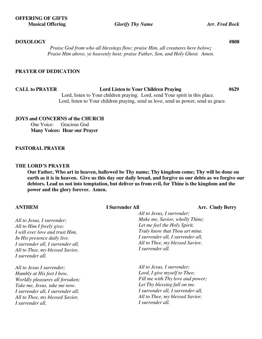### **DOXOLOGY****#808**

 *Praise God from who all blessings flow; praise Him, all creatures here below; Praise Him above, ye heavenly host; praise Father, Son, and Holy Ghost. Amen.* 

### **PRAYER OF DEDICATION**

### **CALL to PRAYER Lord Listen to Your Children Praying #629**

 Lord, listen to Your children praying. Lord, send Your spirit in this place. Lord, listen to Your children praying, send us love, send us power, send us grace.

# **JOYS and CONCERNS of the CHURCH**

One Voice: Gracious God **Many Voices: Hear our Prayer** 

# **PASTORAL PRAYER**

# **THE LORD'S PRAYER**

**Our Father, Who art in heaven, hallowed be Thy name; Thy kingdom come; Thy will be done on earth as it is in heaven. Give us this day our daily bread, and forgive us our debts as we forgive our debtors. Lead us not into temptation, but deliver us from evil, for Thine is the kingdom and the power and the glory forever. Amen.** 

| <b>ANTHEM</b>                                                                                                                                                                                                         | <b>I Surrender All</b>                                                                                                                                                                       | Arr. Cindy Berry                                                                                                                                                                                       |  |
|-----------------------------------------------------------------------------------------------------------------------------------------------------------------------------------------------------------------------|----------------------------------------------------------------------------------------------------------------------------------------------------------------------------------------------|--------------------------------------------------------------------------------------------------------------------------------------------------------------------------------------------------------|--|
|                                                                                                                                                                                                                       | All to Jesus, I surrender;                                                                                                                                                                   |                                                                                                                                                                                                        |  |
| All to Jesus, I surrender;<br>All to Him I freely give;<br>I will ever love and trust Him,<br>In His presence daily live.<br>I surrender all, I surrender all,<br>All to Thee, my blessed Savior,<br>I surrender all. | Make me, Savior, wholly Thine;<br>Let me feel the Holy Spirit,<br>Truly know that Thou art mine.<br>I surrender all, I surrender all,<br>All to Thee, my blessed Savior,<br>I surrender all. |                                                                                                                                                                                                        |  |
| All to Jesus I surrender;<br>Humbly at His feet I bow,<br>Worldly pleasures all forsaken;<br>Take me, Jesus, take me now.<br>I surrender all, I surrender all,<br>All to Thee, my blessed Savior,<br>I surrender all. | I surrender all.                                                                                                                                                                             | All to Jesus, I surrender;<br>Lord, I give myself to Thee;<br>Fill me with Thy love and power;<br>Let Thy blessing fall on me.<br>I surrender all, I surrender all,<br>All to Thee, my blessed Savior, |  |